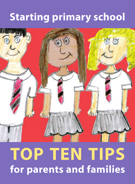# **Starting primary school**



# **TOP TEN TIPS for parents and families**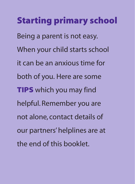# **Starting primary school**

Being a parent is not easy. When your child starts school it can be an anxious time for both of you. Here are some **TIPS** which you may find helpful. Remember you are not alone, contact details of our partners' helplines are at the end of this booklet.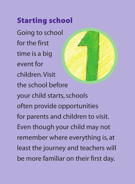# **Starting school**

Going to school for the first time is a big event for children. Visit the school before your child starts, schools often provide opportunities for parents and children to visit. Even though your child may not remember where everything is, at least the journey and teachers will be more familiar on their first day.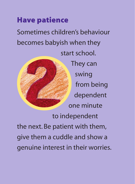# **Have patience**

Sometimes children's behaviour becomes babyish when they start school. They can swing from being dependent one minute to independent the next. Be patient with them, give them a cuddle and show a

genuine interest in their worries.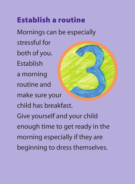# **Establish a routine**

Mornings can be especially stressful for both of you. Establish a morning routine and make sure your child has breakfast. Give yourself and your child enough time to get ready in the morning especially if they are beginning to dress themselves.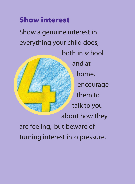# **Show interest**

Show a genuine interest in everything your child does, both in school and at home, encourage them to talk to you about how they are feeling, but beware of turning interest into pressure.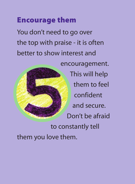## **Encourage them**

You don't need to go over the top with praise - it is often better to show interest and



encouragement. This will help them to feel confident and secure. Don't be afraid to constantly tell

them you love them.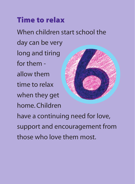# **Time to relax**

When children start school the

day can be very long and tiring for them allow them time to relax when they get home. Children



have a continuing need for love, support and encouragement from those who love them most.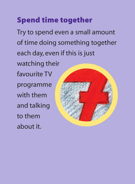# **Spend time together**

Try to spend even a small amount of time doing something together each day, even if this is just watching their favourite TV programme with them and talking to them about it.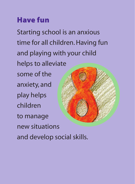# **Have fun**

Starting school is an anxious time for all children. Having fun and playing with your child helps to alleviate some of the anxiety, and play helps children to manage new situations and develop social skills.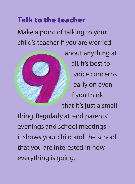# **Talk to the teacher**

Make a point of talking to your child's teacher if you are worried



about anything at all. It's best to voice concerns early on even if you think that it's just a small thing. Regularly attend parents' evenings and school meetings it shows your child and the school that you are interested in how

everything is going.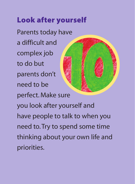# **Look after yourself**

Parents today have a difficult and complex job to do but parents don't need to be perfect. Make sure you look after yourself and have people to talk to when you need to. Try to spend some time thinking about your own life and priorities.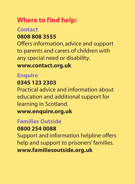#### **Where to find help:**

#### **Contact 0808 808 3555**

Offers information, advice and support to parents and carers of children with any special need or disability.

#### **www.contact.org.uk**

#### **Enquire**

#### **0345 123 2303**

Practical advice and information about education and additional support for learning in Scotland. **www.enquire.org.uk**

#### **Families Outside**

#### **0800 254 0088**

Support and information helpline offers help and support to prisoners' families. **www.familiesoutside.org.uk**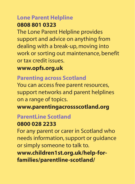### **Lone Parent Helpline**

#### **0808 801 0323**

The Lone Parent Helpline provides support and advice on anything from dealing with a break-up, moving into work or sorting out maintenance, benefit or tax credit issues.

#### **www.opfs.org.uk**

#### **Parenting across Scotland**

You can access free parent resources, support networks and parent helplines on a range of topics.

**www.parentingacrossscotland.org**

#### **ParentLine Scotland**

#### **0800 028 2233**

For any parent or carer in Scotland who needs information, support or guidance or simply someone to talk to. **www.children1st.org.uk/help-forfamilies/parentline-scotland/**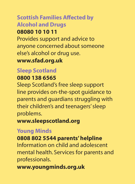#### **Scottish Families Affected by Alcohol and Drugs 08080 10 10 11**

## Provides support and advice to anyone concerned about someone else's alcohol or drug use.

**www.sfad.org.uk**

#### **Sleep Scotland**

#### **0800 138 6565**

Sleep Scotland's free sleep support line provides on-the-spot guidance to parents and guardians struggling with their children's and teenagers' sleep problems.

**www.sleepscotland.org**

#### **Young Minds**

#### **0808 802 5544 parents' helpline**

Information on child and adolescent mental health. Services for parents and professionals.

**www.youngminds.org.uk**